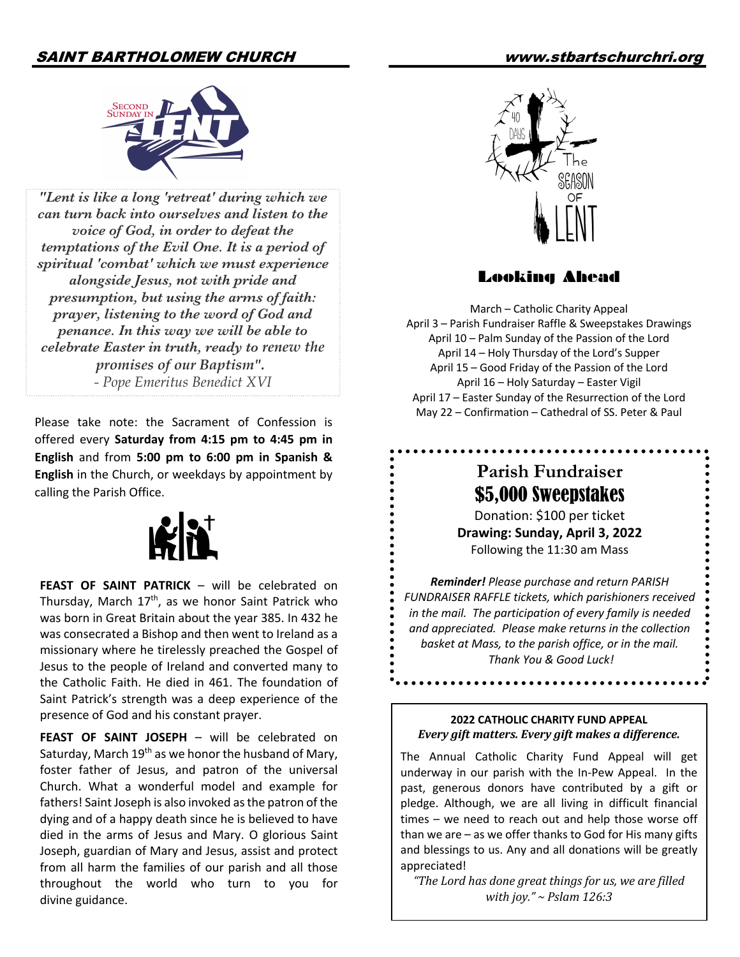## SAINT BARTHOLOMEW CHURCH www.stbartschurchri.org



*"Lent is like a long 'retreat' during which we can turn back into ourselves and listen to the voice of God, in order to defeat the temptations of the Evil One. It is a period of spiritual 'combat' which we must experience alongside Jesus, not with pride and presumption, but using the arms of faith: prayer, listening to the word of God and penance. In this way we will be able to celebrate Easter in truth, ready to renew the promises of our Baptism". - Pope Emeritus Benedict XVI*

Please take note: the Sacrament of Confession is offered every **Saturday from 4:15 pm to 4:45 pm in English** and from **5:00 pm to 6:00 pm in Spanish & English** in the Church, or weekdays by appointment by calling the Parish Office.



FEAST OF SAINT PATRICK - will be celebrated on Thursday, March  $17<sup>th</sup>$ , as we honor Saint Patrick who was born in Great Britain about the year 385. In 432 he was consecrated a Bishop and then went to Ireland as a missionary where he tirelessly preached the Gospel of Jesus to the people of Ireland and converted many to the Catholic Faith. He died in 461. The foundation of Saint Patrick's strength was a deep experience of the presence of God and his constant prayer.

**FEAST OF SAINT JOSEPH - will be celebrated on** Saturday, March  $19<sup>th</sup>$  as we honor the husband of Mary, foster father of Jesus, and patron of the universal Church. What a wonderful model and example for fathers! Saint Joseph is also invoked as the patron of the dying and of a happy death since he is believed to have died in the arms of Jesus and Mary. O glorious Saint Joseph, guardian of Mary and Jesus, assist and protect from all harm the families of our parish and all those throughout the world who turn to you for divine guidance.



### Looking Ahead

March – Catholic Charity Appeal April 3 – Parish Fundraiser Raffle & Sweepstakes Drawings April 10 – Palm Sunday of the Passion of the Lord April 14 – Holy Thursday of the Lord's Supper April 15 – Good Friday of the Passion of the Lord April 16 – Holy Saturday – Easter Vigil April 17 – Easter Sunday of the Resurrection of the Lord May 22 – Confirmation – Cathedral of SS. Peter & Paul

# **Parish Fundraiser** \$5,000 Sweepstakes

Donation: \$100 per ticket **Drawing: Sunday, April 3, 2022** Following the 11:30 am Mass

*Reminder! Please purchase and return PARISH FUNDRAISER RAFFLE tickets, which parishioners received in the mail. The participation of every family is needed and appreciated. Please make returns in the collection basket at Mass, to the parish office, or in the mail. Thank You & Good Luck!*

#### **2022 CATHOLIC CHARITY FUND APPEAL** *Every gift matters. Every gift makes a difference.*

. . . . . . . . . . . . . . . . . . . .

The Annual Catholic Charity Fund Appeal will get underway in our parish with the In-Pew Appeal. In the past, generous donors have contributed by a gift or pledge. Although, we are all living in difficult financial times – we need to reach out and help those worse off than we are – as we offer thanks to God for His many gifts and blessings to us. Any and all donations will be greatly appreciated!

*"The Lord has done great things for us, we are filled with joy."* ~ *Pslam* 126:3